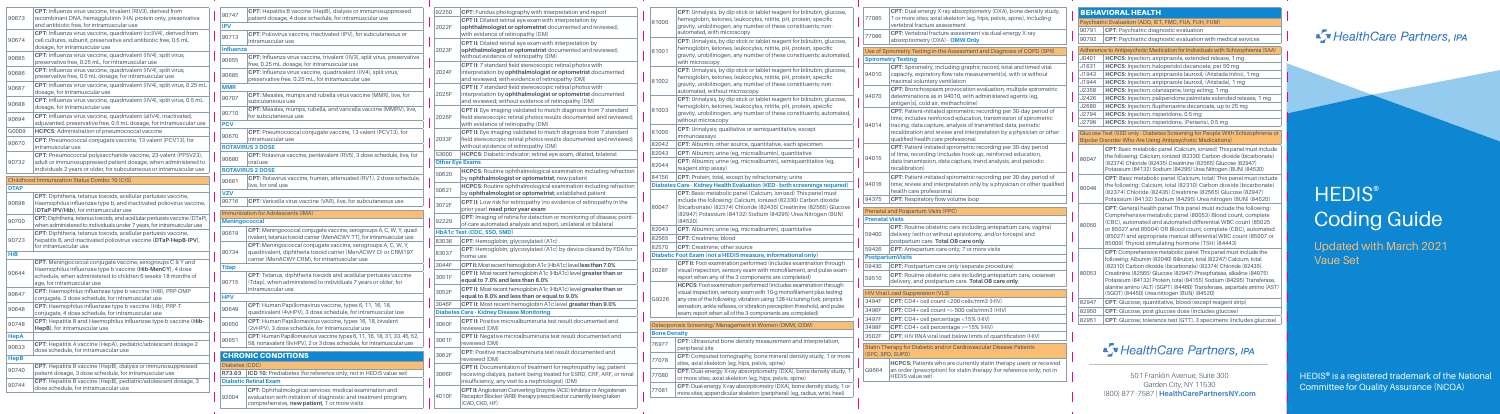|                                                | <b>BEHAVIORAL HEALTH</b>                                                                                                                                                                                                                                                                                                                                                                                                                                                 |  |  |  |  |
|------------------------------------------------|--------------------------------------------------------------------------------------------------------------------------------------------------------------------------------------------------------------------------------------------------------------------------------------------------------------------------------------------------------------------------------------------------------------------------------------------------------------------------|--|--|--|--|
|                                                | Psychiatric Evaluation (ADD, IET, FMC, FUA, FUH, FUM)                                                                                                                                                                                                                                                                                                                                                                                                                    |  |  |  |  |
| 90791                                          | <b>CPT:</b> Psychiatric diagnostic evaluation                                                                                                                                                                                                                                                                                                                                                                                                                            |  |  |  |  |
| 90792                                          | CPT: Psychiatric diagnostic evaluation with medical services                                                                                                                                                                                                                                                                                                                                                                                                             |  |  |  |  |
|                                                | Adherence to Antipsychotic Medication for Individuals with Schizophrenia (SAA)                                                                                                                                                                                                                                                                                                                                                                                           |  |  |  |  |
| J0401                                          | HCPCS: Injection, aripiprazole, extended release, 1 mg                                                                                                                                                                                                                                                                                                                                                                                                                   |  |  |  |  |
| J1631                                          | <b>HCPCS:</b> Injection, haloperidol decanoate, per 50 mg                                                                                                                                                                                                                                                                                                                                                                                                                |  |  |  |  |
| J1943                                          | HCPCS: Injection, aripiprazole lauroxil, (Aristada Initio), 1 mg                                                                                                                                                                                                                                                                                                                                                                                                         |  |  |  |  |
| J1944                                          | HCPCS: Injection, aripiprazole lauroxil, (Aristada), 1 mg                                                                                                                                                                                                                                                                                                                                                                                                                |  |  |  |  |
| J2358                                          | HCPCS: Injection, olanzapine, long-acting, 1 mg                                                                                                                                                                                                                                                                                                                                                                                                                          |  |  |  |  |
| J2426                                          | HCPCS: Injection, paliperidone palmitate extended release, 1 mg                                                                                                                                                                                                                                                                                                                                                                                                          |  |  |  |  |
| J2680                                          | HCPCS: Injection, fluphenazine decanoate, up to 25 mg                                                                                                                                                                                                                                                                                                                                                                                                                    |  |  |  |  |
| J2794<br>HCPCS: Injection, risperidone, 0.5 mg |                                                                                                                                                                                                                                                                                                                                                                                                                                                                          |  |  |  |  |
| J2798                                          | HCPCS: Injection, risperidone, (Perseris), 0.5 mg                                                                                                                                                                                                                                                                                                                                                                                                                        |  |  |  |  |
|                                                | Glucose Test (SSD only - Diabetes Screening for People With Schizophrenia or                                                                                                                                                                                                                                                                                                                                                                                             |  |  |  |  |
|                                                | <b>Bipolar Disorder Who Are Using Antipsychotic Medications)</b>                                                                                                                                                                                                                                                                                                                                                                                                         |  |  |  |  |
| 80047                                          | CPT: Basic metabolic panel (Calcium, ionized) This panel must include<br>the following: Calcium, ionized (82330) Carbon dioxide (bicarbonate)<br>(82374) Chloride (82435) Creatinine (82565) Glucose (82947)<br>Potassium (84132) Sodium (84295) Urea Nitrogen (BUN) (84520)                                                                                                                                                                                             |  |  |  |  |
| 80048                                          | CPT: Basic metabolic panel (Calcium, total) This panel must include<br>the following: Calcium, total (82310) Carbon dioxide (bicarbonate)<br>(82374) Chloride (82435) Creatinine (82565) Glucose (82947)<br>Potassium (84132) Sodium (84295) Urea nitrogen (BUN) (84520)                                                                                                                                                                                                 |  |  |  |  |
| 80050                                          | CPT: General health panel This panel must include the following:<br>Comprehensive metabolic panel (80053) Blood count, complete<br>(CBC), automated and automated differential WBC count (85025)<br>or 85027 and 85004) OR Blood count, complete (CBC), automated<br>(85027) and appropriate manual differential WBC count (85007 or<br>85009) Thyroid stimulating hormone (TSH) (84443)                                                                                 |  |  |  |  |
| 80053                                          | CPT: Comprehensive metabolic panel This panel must include the<br>following: Albumin (82040) Bilirubin, total (82247) Calcium, total<br>(82310) Carbon dioxide (bicarbonate) (82374) Chloride (82435)<br>Creatinine (82565) Glucose (82947) Phosphatase, alkaline (84075)<br>Potassium (84132) Protein, total (84155) Sodium (84295) Transferase,<br>alanine amino (ALT) (SGPT) (84460) Transferase, aspartate amino (AST)<br>(SGOT) (84450) Urea nitrogen (BUN) (84520) |  |  |  |  |
| 82947                                          | <b>CPT:</b> Glucose; quantitative, blood (except reagent strip)                                                                                                                                                                                                                                                                                                                                                                                                          |  |  |  |  |
| 82950                                          | CPT: Glucose; post glucose dose (includes glucose)                                                                                                                                                                                                                                                                                                                                                                                                                       |  |  |  |  |
| 82951                                          | CPT: Glucose; tolerance test (GTT), 3 specimens (includes glucose)                                                                                                                                                                                                                                                                                                                                                                                                       |  |  |  |  |
|                                                |                                                                                                                                                                                                                                                                                                                                                                                                                                                                          |  |  |  |  |

## ST Health Care Partners, IPA

| cor tablet reagent for bilirubin, glucose,<br>ocytes, nitrite, pH, protein, specific<br>umber of these constituents: non-                | 77085                  | CPT: Dual-energy X-ray absorptiometry (DXA), bone density study,<br>1 or more sites; axial skeleton (eg, hips, pelvis, spine), including<br>vertebral fracture assessment                              | <b>BE</b><br><b>Psy</b><br>907 |
|------------------------------------------------------------------------------------------------------------------------------------------|------------------------|--------------------------------------------------------------------------------------------------------------------------------------------------------------------------------------------------------|--------------------------------|
| ۱V<br>or tablet reagent for bilirubin, glucose,                                                                                          | 77086                  | CPT: Vertebral fracture assessment via dual-energy X-ray<br>absorptiometry (DXA) - OMW Only                                                                                                            | 907                            |
| ocytes, nitrite, pH, protein, specific<br>umber of these constituents; automated,                                                        |                        | Use of Spirometry Testing in the Assessment and Diagnosis of COPD (SPR)                                                                                                                                | Adr                            |
|                                                                                                                                          |                        | <b>Spirometry Testing</b>                                                                                                                                                                              | J <sub>04</sub>                |
| or tablet reagent for bilirubin, glucose,<br>ocytes, nitrite, pH, protein, specific<br>umber of these constituents; non-                 | 94010                  | <b>CPT:</b> Spirometry, including graphic record, total and timed vital<br>capacity, expiratory flow rate measurement(s), with or without<br>maximal voluntary ventilation                             | J16<br>J19<br>J19              |
| copy<br>cor tablet reagent for bilirubin, glucose,<br>ocytes, nitrite, pH, protein, specific                                             | 94070                  | CPT: Bronchospasm provocation evaluation, multiple spirometric<br>determinations as in 94010, with administered agents (eg,<br>antigen[s], cold air, methacholine)                                     | J23<br>J24<br>J26              |
| umber of these constituents; automated,                                                                                                  | 94014                  | CPT: Patient-initiated spirometric recording per 30-day period of<br>time; includes reinforced education, transmission of spirometric<br>tracing, data capture, analysis of transmitted data, periodic | J27<br>J27                     |
| or semiquantitative, except                                                                                                              |                        | recalibration and review and interpretation by a physician or other<br>qualified health care professional                                                                                              | Glu<br><b>Bip</b>              |
| e, quantitative, each specimen                                                                                                           |                        | CPT: Patient-initiated spirometric recording per 30-day period                                                                                                                                         |                                |
| icroalbumin), quantitative<br>icroalbumin), semiquantitative (eg,                                                                        | 94015                  | of time; recording (includes hook-up, reinforced education,<br>data transmission, data capture, trend analysis, and periodic<br>recalibration)                                                         | <b>800</b>                     |
| by refractometry; urine                                                                                                                  |                        | CPT: Patient-initiated spirometric recording per 30-day period of                                                                                                                                      |                                |
| lation (KED - both screenings required)                                                                                                  | 94016                  | time; review and interpretation only by a physician or other qualified                                                                                                                                 | <b>800</b>                     |
| l (Calcium, ionized) This panel must<br>ium, ionized (82330) Carbon dioxide                                                              | 94375                  | health care professional<br>CPT: Respiratory flow volume loop                                                                                                                                          |                                |
| ride (82435) Creatinine (82565) Glucose                                                                                                  |                        | Prenatal and Pospartum Visits (PPC)                                                                                                                                                                    |                                |
| Sodium (84295) Urea Nitrogen (BUN)                                                                                                       | <b>Prenatal Visits</b> |                                                                                                                                                                                                        |                                |
| icroalbumin), quantitative                                                                                                               | 59400                  | <b>CPT:</b> Routine obstetric care including antepartum care, vaginal<br>delivery (with or without episiotomy, and/or forceps) and<br>postpartum care. Total OB care only.                             | <b>800</b>                     |
| ce                                                                                                                                       | 59426                  | <b>CPT:</b> Antepartum care only; 7 or more visits                                                                                                                                                     |                                |
| easure, informational only)                                                                                                              |                        | <b>PostpartumVisits</b>                                                                                                                                                                                |                                |
| rformed (includes examination through<br>xam with monofilament, and pulse exam -                                                         | 59430                  | <b>CPT:</b> Postpartum care only (separate procedure)                                                                                                                                                  |                                |
| mponents are completed)<br>erformed (includes examination through                                                                        | 59510                  | CPT: Routine obstetric care including antepartum care, cesarean<br>delivery, and postpartum care. Total OB care only.                                                                                  | <b>800</b>                     |
| am with 10-g monofilament plus testing                                                                                                   |                        | <b>HIV Viral Load Suppression (VLS)</b>                                                                                                                                                                |                                |
| ration using 128-Hz tuning fork, pinprick                                                                                                | 3494F                  | CPT: CD4+ cell count <200 cells/mm3 (HIV)                                                                                                                                                              | 829                            |
| ibration perception threshold, and pulse                                                                                                 | 3496F                  | CPT: $CD4+$ cell count => 500 cells/mm3 (HIV)                                                                                                                                                          | 829                            |
| 3 components are completed)                                                                                                              | 3497F                  | CPT: CD4+ cell percentage <15% (HIV)                                                                                                                                                                   | 829                            |
| nt in Women (OMW, OSW)                                                                                                                   | 3498F                  | CPT: CD4+ cell percentage >=15% (HIV)                                                                                                                                                                  |                                |
|                                                                                                                                          | 3502F                  | CPT: HIV RNA viral load below limits of quantification (HIV)                                                                                                                                           |                                |
| sity measurement and interpretation,                                                                                                     |                        | Statin Therapy for Diabetic and/or Cardiovascular Disease Patients                                                                                                                                     |                                |
| ny, bone mineral density study, 1 or more<br>s, pelvis, spine)<br>sorptiometry (DXA), bone density study, 1<br>(eg, hips, pelvis, spine) | G9664                  | (SPC, SPD, SUPD)<br><b>HCPCS:</b> Patients who are currently statin therapy users or received<br>an order (prescription) for statin therapy (for reference only; not in<br><b>HEDIS</b> value set)     |                                |
| orptiometry (DXA), bone density study, 1 or<br>leton (peripheral) (eg, radius, wrist, heel)                                              |                        |                                                                                                                                                                                                        |                                |
|                                                                                                                                          |                        |                                                                                                                                                                                                        |                                |

Updated with March 2021 Vaue Set

| 92250                  | CPT: Fundus photography with interpretation and report                                                                                                                                                                                   |       | CPT: Urinalysis, by dip stick                                                                                                 |
|------------------------|------------------------------------------------------------------------------------------------------------------------------------------------------------------------------------------------------------------------------------------|-------|-------------------------------------------------------------------------------------------------------------------------------|
| 2022F                  | CPT II: Dilated retinal eye exam with interpretation by<br>ophthalmologist or optometrist documented and reviewed;<br>with evidence of retinopathy (DM)                                                                                  | 81000 | hemoglobin, ketones, leuko<br>gravity, urobilinogen, any ni<br>automated, with microscop                                      |
| 2023F                  | CPT II: Dilated retinal eye exam with interpretation by<br>ophthalmologist or optometrist documented and reviewed;<br>without evidence of retinopathy (DM)                                                                               | 81001 | CPT: Urinalysis, by dip stick<br>hemoglobin, ketones, leuko<br>gravity, urobilinogen, any ni<br>with microscopy               |
| 2024F                  | CPT II: 7 standard field stereoscopic retinal photos with<br>interpretation by ophthalmologist or optometrist documented<br>and reviewed; with evidence of retinopathy (DM)<br>CPT II: 7 standard field stereoscopic retinal photos with | 81002 | CPT: Urinalysis, by dip stick<br>hemoglobin, ketones, leuko<br>gravity, urobilinogen, any ni                                  |
| 2025F                  | interpretation by ophthalmologist or optometrist documented<br>and reviewed; without evidence of retinopathy (DM)                                                                                                                        |       | automated, without microso<br><b>CPT:</b> Urinalysis, by dip stick                                                            |
| 2026F                  | CPT II: Eye imaging validated to match diagnosis from 7 standard<br>field stereoscopic retinal photos results documented and reviewed;<br>with evidence of retinopathy (DM)                                                              | 81003 | hemoglobin, ketones, leuko<br>gravity, urobilinogen, any ni<br>without microscopy                                             |
| 2033F                  | CPT II: Eye imaging validated to match diagnosis from 7 standard<br>field stereoscopic retinal photos results documented and reviewed;                                                                                                   | 81005 | CPT: Urinalysis; qualitative<br>immunoassays                                                                                  |
|                        | without evidence of retinopathy (DM)                                                                                                                                                                                                     | 82042 | CPT: Albumin; other source                                                                                                    |
| S3000                  | HCPCS: Diabetic indicator; retinal eye exam, dilated, bilateral                                                                                                                                                                          | 82043 | CPT: Albumin; urine (eg, mi                                                                                                   |
| <b>Other Eye Exams</b> | <b>HCPCS:</b> Routine ophthalmological examination including refraction                                                                                                                                                                  | 82044 | CPT: Albumin; urine (eg, mi-<br>reagent strip assay)                                                                          |
| S0620                  | by ophthalmologist or optometrist; new patient                                                                                                                                                                                           | 84156 | CPT: Protein, total, except b                                                                                                 |
|                        | <b>HCPCS:</b> Routine ophthalmological examination including refraction                                                                                                                                                                  |       | Diabetes Care - Kidney Health Evalua                                                                                          |
| S0621<br>3072F         | by ophthalmologist or optometrist; established patient<br>CPT II: Low risk for retinopathy (no evidence of retinopathy in the<br>prior year) need prior year exam                                                                        | 80047 | <b>CPT:</b> Basic metabolic panel<br>include the following: Calci<br>(bicarbonate) (82374) Chlor<br>(82947) Potassium (84132) |
| 92229                  | CPT: Imaging of retina for detection or monitoring of disease; point-<br>of-care automated analysis and report, unilateral or bilateral                                                                                                  |       | (84520)                                                                                                                       |
|                        | <b>HbA1c Test (CDC, SSD, SMD)</b>                                                                                                                                                                                                        | 82043 | CPT: Albumin; urine (eg, mi                                                                                                   |
| 83036                  | <b>CPT:</b> Hemoglobin; glycosylated (A1c)                                                                                                                                                                                               | 82565 | <b>CPT:</b> Creatinine; blood                                                                                                 |
|                        | CPT: Hemoglobin; glycosylated (A1c) by device cleared by FDA for                                                                                                                                                                         | 82570 | <b>CPT:</b> Creatinine; other souro                                                                                           |
| 83037                  | home use                                                                                                                                                                                                                                 |       | Diabetic Foot Exam (not a HEDIS me                                                                                            |
| 3044F                  | CPT II: Most recent hemoglobin A1c (HbA1c) level less than 7.0%                                                                                                                                                                          |       | <b>CPT II:</b> Foot examination per                                                                                           |
| 3051F                  | CPT II: Most recent hemoglobin A1c (HbA1c) level greater than or<br>equal to 7.0% and less than 8.0%                                                                                                                                     | 2028F | visual inspection, sensory ex<br>report when any of the 3 cor                                                                 |
| 3052F                  | CPT II: Most recent hemoglobin A1c (HbA1c) level greater than or<br>equal to 8.0% and less than or equal to 9.0%                                                                                                                         | G9226 | <b>HCPCS:</b> Foot examination pe<br>visual inspection, sensory exa<br>any one of the following: vibra                        |
| 3046F                  | CPT II: Most recent hemoglobin A1c level greater than 9.0%                                                                                                                                                                               |       | sensation, ankle reflexes, or vi                                                                                              |
|                        | <b>Diabetes Care - Kidney Disease Monitoring</b>                                                                                                                                                                                         |       | exam; report when all of the 3                                                                                                |
| 3060F                  | CPT II: Positive microalbuminuria test result documented and<br>reviewed (DM)                                                                                                                                                            |       | <b>Osteoporosis Screening/ Managemen</b>                                                                                      |
|                        | CPT II: Negative microalbuminuria test result documented and                                                                                                                                                                             |       | <b>Bone Density</b>                                                                                                           |
| 3061F                  | reviewed (DM)<br><b>CPT:</b> Positive macroalbuminuria test result documented and                                                                                                                                                        | 76977 | <b>CPT:</b> Ultrasound bone dens<br>peripheral site                                                                           |
| 3062F                  | reviewed (DM)                                                                                                                                                                                                                            | 77078 | <b>CPT:</b> Computed tomograph<br>sites, axial skeleton (eg, hips                                                             |
| 3066F                  | CPT II: Documentation of treatment for nephropathy (eg, patient<br>receiving dialysis, patient being treated for ESRD, CRF, ARF, or renal<br>insufficiency, any visit to a nephrologist) (DM)                                            | 77080 | CPT: Dual-energy X-ray abs<br>or more sites; axial skeleton                                                                   |
| 4010F                  | CPT II: Angiotensin Converting Enzyme (ACE) Inhibitor or Angiotensin<br>Receptor Blocker (ARB) therapy prescribed or currently being taken<br>(CAD, CKD, HF)                                                                             | 77081 | CPT: Dual-energy X-ray abso<br>more sites; appendicular skel                                                                  |

| 90673       | <b>CPT:</b> Influenza virus vaccine, trivalent (RIV3), derived from<br>recombinant DNA, hemagglutinin (HA) protein only, preservative<br>and antibiotic free, for intramuscular use                                   |
|-------------|-----------------------------------------------------------------------------------------------------------------------------------------------------------------------------------------------------------------------|
| 90674       | CPT: Influenza virus vaccine, quadrivalent (ccIIV4), derived from<br>cell cultures, subunit, preservative and antibiotic free, 0.5 mL<br>dosage, for intramuscular use                                                |
| 90685       | CPT: Influenza virus vaccine, quadrivalent (IIV4), split virus,<br>preservative free, 0.25 mL, for intramuscular use                                                                                                  |
| 90686       | CPT: Influenza virus vaccine, quadrivalent (IIV4), split virus,<br>preservative free, 0.5 mL dosage, for intramuscular use                                                                                            |
| 90687       | CPT: Influenza virus vaccine, quadrivalent (IIV4), split virus, 0.25 mL<br>dosage, for intramuscular use                                                                                                              |
| 90688       | CPT: Influenza virus vaccine, quadrivalent (IIV4), split virus, 0.5 mL<br>dosage, for intramuscular use                                                                                                               |
| 90694       | CPT: Influenza virus vaccine, quadrivalent (allV4), inactivated,<br>adjuvanted, preservative free, 0.5 mL dosage, for intramuscular use                                                                               |
| G0009       | <b>HCPCS:</b> Administration of pneumococcal vaccine                                                                                                                                                                  |
| 90670       | CPT: Pneumococcal conjugate vaccine, 13 valent (PCV13), for<br>intramuscular use                                                                                                                                      |
| 90732       | CPT: Pneumococcal polysaccharide vaccine, 23-valent (PPSV23),<br>adult or immunosuppressed patient dosage, when administered to<br>individuals 2 years or older, for subcutaneous or intramuscular use                |
|             | <b>Childhood Immunization Status Combo 10 (CIS)</b>                                                                                                                                                                   |
| <b>DTAP</b> |                                                                                                                                                                                                                       |
| 90698       | CPT: Diphtheria, tetanus toxoids, acellular pertussis vaccine,<br>Haemophilus influenzae type b, and inactivated poliovirus vaccine,<br>(DTaP-IPV/Hib), for intramuscular use                                         |
| 90700       | CPT: Diphtheria, tetanus toxoids, and acellular pertussis vaccine (DTaP),<br>when administered to individuals under 7 years, for intramuscular use                                                                    |
| 90723       | CPT: Diphtheria, tetanus toxoids, acellular pertussis vaccine,<br>hepatitis B, and inactivated poliovirus vaccine (DTaP-HepB-IPV),<br>for intramuscular use                                                           |
| HiB         |                                                                                                                                                                                                                       |
| 90644       | CPT: Meningococcal conjugate vaccine, serogroups C & Y and<br>Haemophilus influenzae type b vaccine (Hib-MenCY), 4 dose<br>schedule, when administered to children 6 weeks-18 months of<br>age, for intramuscular use |
| 90647       | CPT: Haemophilus influenzae type b vaccine (HiB), PRP-OMP<br>conjugate, 3 dose schedule, for intramuscular use                                                                                                        |
| 90648       | CPT: Haemophilus influenzae type b vaccine (Hib), PRP-T<br>conjugate, 4 dose schedule, for intramuscular use                                                                                                          |
| 90748       | CPT: Hepatitis B and Haemophilus influenzae type b vaccine (Hib-<br>HepB), for intramuscular use                                                                                                                      |
| <b>HepA</b> |                                                                                                                                                                                                                       |
| 90633       | CPT: Hepatitis A vaccine (HepA), pediatric/adolescent dosage-2<br>dose schedule, for intramuscular use                                                                                                                |
| HepB        |                                                                                                                                                                                                                       |
| 90740       | CPT: Hepatitis B vaccine (HepB), dialysis or immunosuppressed<br>patient dosage, 3 dose schedule, for intramuscular use                                                                                               |
|             | CPT: Hepatitis B vaccine (HepB), pediatric/adolescent dosage, 3                                                                                                                                                       |

| 90747            | CPT: Hepatitis B vaccine (HepB), dialysis or immunosuppressed<br>patient dosage, 4 dose schedule, for intramuscular use                                                       |
|------------------|-------------------------------------------------------------------------------------------------------------------------------------------------------------------------------|
| <b>IPV</b>       |                                                                                                                                                                               |
| 90713            | CPT: Poliovirus vaccine, inactivated (IPV), for subcutaneous or<br>intramuscular use                                                                                          |
| <b>Influenza</b> |                                                                                                                                                                               |
| 90655            | CPT: Influenza virus vaccine, trivalent (IIV3), split virus, preservative<br>free, 0.25 mL dosage, for intramuscular use                                                      |
| 90685            | CPT: Influenza virus vaccine, quadrivalent (IIV4), split virus,<br>preservative free, 0.25 mL, for intramuscular use                                                          |
| <b>MMR</b>       |                                                                                                                                                                               |
| 90707            | CPT: Measles, mumps and rubella virus vaccine (MMR), live, for<br>subcutaneous use                                                                                            |
| 90710            | CPT: Measles, mumps, rubella, and varicella vaccine (MMRV), live,<br>for subcutaneous use                                                                                     |
| PCV              |                                                                                                                                                                               |
| 90670            | <b>CPT:</b> Pneumococcal conjugate vaccine, 13 valent (PCV13), for<br>intramuscular use                                                                                       |
|                  | <b>ROTAVIRUS 3 DOSE</b>                                                                                                                                                       |
| 90680            | CPT: Rotavirus vaccine, pentavalent (RV5), 3 dose schedule, live, for<br>oral use                                                                                             |
|                  | <b>ROTAVIRUS 2 DOSE</b>                                                                                                                                                       |
| 90681            | CPT: Rotavirus vaccine, human, attenuated (RV1), 2 dose schedule,<br>live, for oral use                                                                                       |
| vzv              |                                                                                                                                                                               |
| 90716            | <b>CPT:</b> Varicella virus vaccine (VAR), live, for subcutaneous use                                                                                                         |
|                  | Immunization for Adolescents (IMA)                                                                                                                                            |
| Meningococcal    |                                                                                                                                                                               |
| 90619            | CPT: Meningococcal conjugate vaccine, serogroups A, C, W, Y, quad-<br>rivalent, tetanus toxoid carrier (MenACWY-TT), for intramuscular use                                    |
| 90734            | CPT: Meningococcal conjugate vaccine, serogroups A, C, W, Y,<br>quadrivalent, diphtheria toxoid carrier (MenACWY-D) or CRM197<br>carrier (MenACWY-CRM), for intramuscular use |
| Tdap             |                                                                                                                                                                               |
| 90715            | CPT: Tetanus, diphtheria toxoids and acellular pertussis vaccine<br>(Tdap), when administered to individuals 7 years or older, for<br>intramuscular use                       |
| <b>HPV</b>       |                                                                                                                                                                               |
| 90649            | CPT: Human Papillomavirus vaccine, types 6, 11, 16, 18,<br>quadrivalent (4vHPV), 3 dose schedule, for intramuscular use                                                       |
| 90650            | CPT: Human Papillomavirus vaccine, types 16, 18, bivalent<br>(2vHPV), 3 dose schedule, for intramuscular use                                                                  |
| 90651            | CPT: Human Papillomavirus vaccine types 6, 11, 16, 18, 31, 33, 45, 52,<br>58, nonavalent (9vHPV), 2 or 3 dose schedule, for intramuscular use                                 |
|                  | <b>CHRONIC CONDITIONS</b>                                                                                                                                                     |
| Diabetes (CDC)   |                                                                                                                                                                               |
|                  |                                                                                                                                                                               |
| R73.03           | ICD 10: Prediabetes (for reference only; not in HEDIS value set)<br><b>Diabetic Retinal Exam</b>                                                                              |
|                  |                                                                                                                                                                               |
| 92004            | CPT: Ophthalmological services: medical examination and<br>evaluation with initiation of diagnostic and treatment program;                                                    |

HEDIS® is a registered trademark of the National Committee for Quality Assurance (NCQA)



501 Franklin Avenue, Suite 300 Garden City, NY 11530 (800) 877 -7587 | **HealthCarePartnersNY.com**

## ST Health Care Partners, IPA

## **HEDIS® Coding Guide**